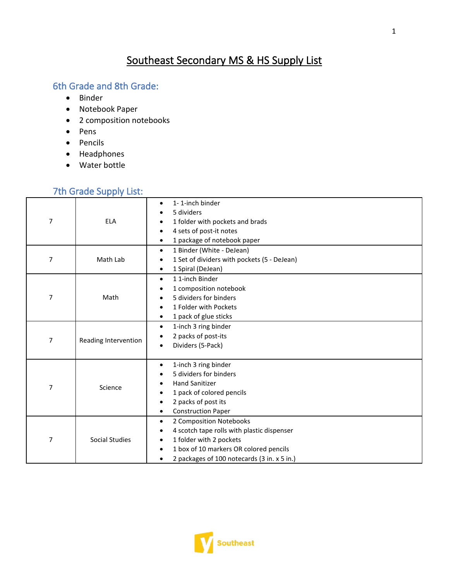# Southeast Secondary MS & HS Supply List

## 6th Grade and 8th Grade:

- Binder
- Notebook Paper
- 2 composition notebooks
- Pens
- Pencils
- Headphones
- Water bottle

## 7th Grade Supply List:

| $\overline{7}$ | <b>ELA</b>           | 1-1-inch binder<br>$\bullet$<br>5 dividers<br>$\bullet$<br>1 folder with pockets and brads<br>$\bullet$<br>4 sets of post-it notes<br>$\bullet$<br>1 package of notebook paper<br>$\bullet$                                                                |
|----------------|----------------------|------------------------------------------------------------------------------------------------------------------------------------------------------------------------------------------------------------------------------------------------------------|
| 7              | Math Lab             | 1 Binder (White - DeJean)<br>$\bullet$<br>1 Set of dividers with pockets (5 - DeJean)<br>$\bullet$<br>1 Spiral (DeJean)<br>$\bullet$                                                                                                                       |
| $\overline{7}$ | Math                 | 11-inch Binder<br>$\bullet$<br>1 composition notebook<br>٠<br>5 dividers for binders<br>$\bullet$<br>1 Folder with Pockets<br>$\bullet$<br>1 pack of glue sticks<br>$\bullet$                                                                              |
| 7              | Reading Intervention | 1-inch 3 ring binder<br>$\bullet$<br>2 packs of post-its<br>$\bullet$<br>Dividers (5-Pack)<br>$\bullet$                                                                                                                                                    |
| 7              | Science              | 1-inch 3 ring binder<br>$\bullet$<br>5 dividers for binders<br>٠<br><b>Hand Sanitizer</b><br>$\bullet$<br>1 pack of colored pencils<br>$\bullet$<br>2 packs of post its<br>$\bullet$<br><b>Construction Paper</b><br>$\bullet$                             |
| 7              | Social Studies       | 2 Composition Notebooks<br>$\bullet$<br>4 scotch tape rolls with plastic dispenser<br>$\bullet$<br>1 folder with 2 pockets<br>$\bullet$<br>1 box of 10 markers OR colored pencils<br>$\bullet$<br>2 packages of 100 notecards (3 in. x 5 in.)<br>$\bullet$ |

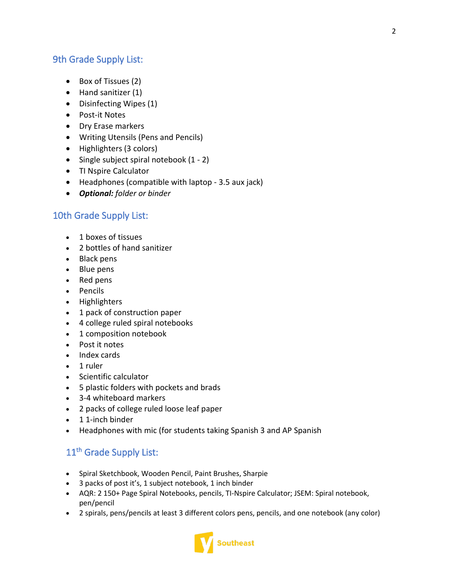#### 9th Grade Supply List:

- Box of Tissues (2)
- Hand sanitizer (1)
- Disinfecting Wipes (1)
- Post-it Notes
- Dry Erase markers
- Writing Utensils (Pens and Pencils)
- Highlighters (3 colors)
- Single subject spiral notebook (1 2)
- TI Nspire Calculator
- Headphones (compatible with laptop 3.5 aux jack)
- *Optional: folder or binder*

## 10th Grade Supply List:

- 1 boxes of tissues
- 2 bottles of hand sanitizer
- Black pens
- Blue pens
- Red pens
- Pencils
- Highlighters
- 1 pack of construction paper
- 4 college ruled spiral notebooks
- 1 composition notebook
- Post it notes
- Index cards
- 1 ruler
- Scientific calculator
- 5 plastic folders with pockets and brads
- 3-4 whiteboard markers
- 2 packs of college ruled loose leaf paper
- 1 1-inch binder
- Headphones with mic (for students taking Spanish 3 and AP Spanish

## 11<sup>th</sup> Grade Supply List:

- Spiral Sketchbook, Wooden Pencil, Paint Brushes, Sharpie
- 3 packs of post it's, 1 subject notebook, 1 inch binder
- AQR: 2 150+ Page Spiral Notebooks, pencils, TI-Nspire Calculator; JSEM: Spiral notebook, pen/pencil
- 2 spirals, pens/pencils at least 3 different colors pens, pencils, and one notebook (any color)